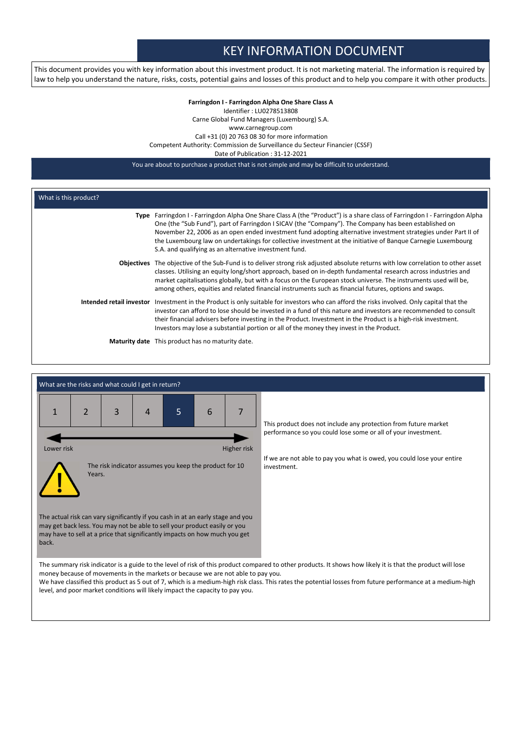# KEY INFORMATION DOCUMENT

This document provides you with key information about this investment product. It is not marketing material. The information is required by law to help you understand the nature, risks, costs, potential gains and losses of this product and to help you compare it with other products

## Farringdon I - Farringdon Alpha One Share Class A Identifier : LU0278513808 Carne Global Fund Managers (Luxembourg) S.A. www.carnegroup.com Call +31 (0) 20 763 08 30 for more information Competent Authority: Commission de Surveillance du Secteur Financier (CSSF) Date of Publication : 31-12-2021

You are about to purchase a product that is not simple and may be difficult to understand.

| What is this product? |                                                                                                                                                                                                                                                                                                                                                                                                                                                                                                                                 |  |  |  |
|-----------------------|---------------------------------------------------------------------------------------------------------------------------------------------------------------------------------------------------------------------------------------------------------------------------------------------------------------------------------------------------------------------------------------------------------------------------------------------------------------------------------------------------------------------------------|--|--|--|
|                       | Type Farringdon I - Farringdon Alpha One Share Class A (the "Product") is a share class of Farringdon I - Farringdon Alpha<br>One (the "Sub Fund"), part of Farringdon I SICAV (the "Company"). The Company has been established on<br>November 22, 2006 as an open ended investment fund adopting alternative investment strategies under Part II of<br>the Luxembourg law on undertakings for collective investment at the initiative of Bangue Carnegie Luxembourg<br>S.A. and qualifying as an alternative investment fund. |  |  |  |
|                       | <b>Objectives</b> The objective of the Sub-Fund is to deliver strong risk adjusted absolute returns with low correlation to other asset<br>classes. Utilising an equity long/short approach, based on in-depth fundamental research across industries and<br>market capitalisations globally, but with a focus on the European stock universe. The instruments used will be,<br>among others, equities and related financial instruments such as financial futures, options and swaps.                                          |  |  |  |
|                       | Intended retail investor Investment in the Product is only suitable for investors who can afford the risks involved. Only capital that the<br>investor can afford to lose should be invested in a fund of this nature and investors are recommended to consult<br>their financial advisers before investing in the Product. Investment in the Product is a high-risk investment.<br>Investors may lose a substantial portion or all of the money they invest in the Product.                                                    |  |  |  |
|                       | <b>Maturity date</b> This product has no maturity date.                                                                                                                                                                                                                                                                                                                                                                                                                                                                         |  |  |  |

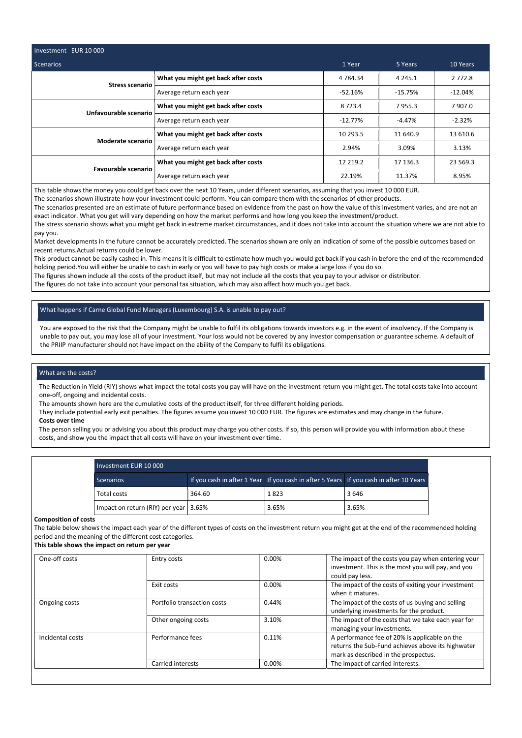| Investment EUR 10 000      |                                     |             |            |            |  |
|----------------------------|-------------------------------------|-------------|------------|------------|--|
| Scenarios                  | 1 Year                              | 5 Years     | 10 Years   |            |  |
| <b>Stress scenario</b>     | What you might get back after costs | 4 7 8 4 3 4 | 4 2 4 5 .1 | 2 7 7 2 .8 |  |
|                            | Average return each year            | $-52.16%$   | $-15.75%$  | $-12.04%$  |  |
| Unfavourable scenario      | What you might get back after costs | 8723.4      | 7955.3     | 7907.0     |  |
|                            | Average return each year            | $-12.77\%$  | $-4.47%$   | $-2.32%$   |  |
| Moderate scenario          | What you might get back after costs | 10 293.5    | 11 640.9   | 13 610.6   |  |
|                            | Average return each year            | 2.94%       | 3.09%      | 3.13%      |  |
| <b>Favourable scenario</b> | What you might get back after costs | 12 2 19.2   | 17 136.3   | 23 569.3   |  |
|                            | Average return each year            | 22.19%      | 11.37%     | 8.95%      |  |

This table shows the money you could get back over the next 10 Years, under different scenarios, assuming that you invest 10 000 EUR.

The scenarios shown illustrate how your investment could perform. You can compare them with the scenarios of other products.

The scenarios presented are an estimate of future performance based on evidence from the past on how the value of this investment varies, and are not an exact indicator. What you get will vary depending on how the market performs and how long you keep the investment/product.

The stress scenario shows what you might get back in extreme market circumstances, and it does not take into account the situation where we are not able to pay you.

Market developments in the future cannot be accurately predicted. The scenarios shown are only an indication of some of the possible outcomes based on recent returns.Actual returns could be lower.

This product cannot be easily cashed in. This means it is difficult to estimate how much you would get back if you cash in before the end of the recommended holding period.You will either be unable to cash in early or you will have to pay high costs or make a large loss if you do so.

The figures shown include all the costs of the product itself, but may not include all the costs that you pay to your advisor or distributor.

The figures do not take into account your personal tax situation, which may also affect how much you get back.

# What happens if Carne Global Fund Managers (Luxembourg) S.A. is unable to pay out?

You are exposed to the risk that the Company might be unable to fulfil its obligations towards investors e.g. in the event of insolvency. If the Company is unable to pay out, you may lose all of your investment. Your loss would not be covered by any investor compensation or guarantee scheme. A default of the PRIIP manufacturer should not have impact on the ability of the Company to fulfil its obligations.

## What are the costs?

The Reduction in Yield (RIY) shows what impact the total costs you pay will have on the investment return you might get. The total costs take into account one-off, ongoing and incidental costs.

The amounts shown here are the cumulative costs of the product itself, for three different holding periods.

They include potential early exit penalties. The figures assume you invest 10 000 EUR. The figures are estimates and may change in the future. Costs over time

The person selling you or advising you about this product may charge you other costs. If so, this person will provide you with information about these costs, and show you the impact that all costs will have on your investment over time.

| Investment EUR 10 000                 |        |       |                                                                                        |  |  |
|---------------------------------------|--------|-------|----------------------------------------------------------------------------------------|--|--|
| <b>Scenarios</b>                      |        |       | If you cash in after 1 Year If you cash in after 5 Years If you cash in after 10 Years |  |  |
| Total costs                           | 364.60 | 1823  | 3646                                                                                   |  |  |
| Impact on return (RIY) per year 3.65% |        | 3.65% | 3.65%                                                                                  |  |  |

#### Composition of costs

The table below shows the impact each year of the different types of costs on the investment return you might get at the end of the recommended holding period and the meaning of the different cost categories.

This table shows the impact on return per year

| One-off costs    | Entry costs                 | $0.00\%$ | The impact of the costs you pay when entering your<br>investment. This is the most you will pay, and you<br>could pay less.                |
|------------------|-----------------------------|----------|--------------------------------------------------------------------------------------------------------------------------------------------|
|                  | Exit costs                  | $0.00\%$ | The impact of the costs of exiting your investment<br>when it matures.                                                                     |
| Ongoing costs    | Portfolio transaction costs | 0.44%    | The impact of the costs of us buying and selling<br>underlying investments for the product.                                                |
|                  | Other ongoing costs         | 3.10%    | The impact of the costs that we take each year for<br>managing your investments.                                                           |
| Incidental costs | Performance fees            | 0.11%    | A performance fee of 20% is applicable on the<br>returns the Sub-Fund achieves above its highwater<br>mark as described in the prospectus. |
|                  | Carried interests           | $0.00\%$ | The impact of carried interests.                                                                                                           |